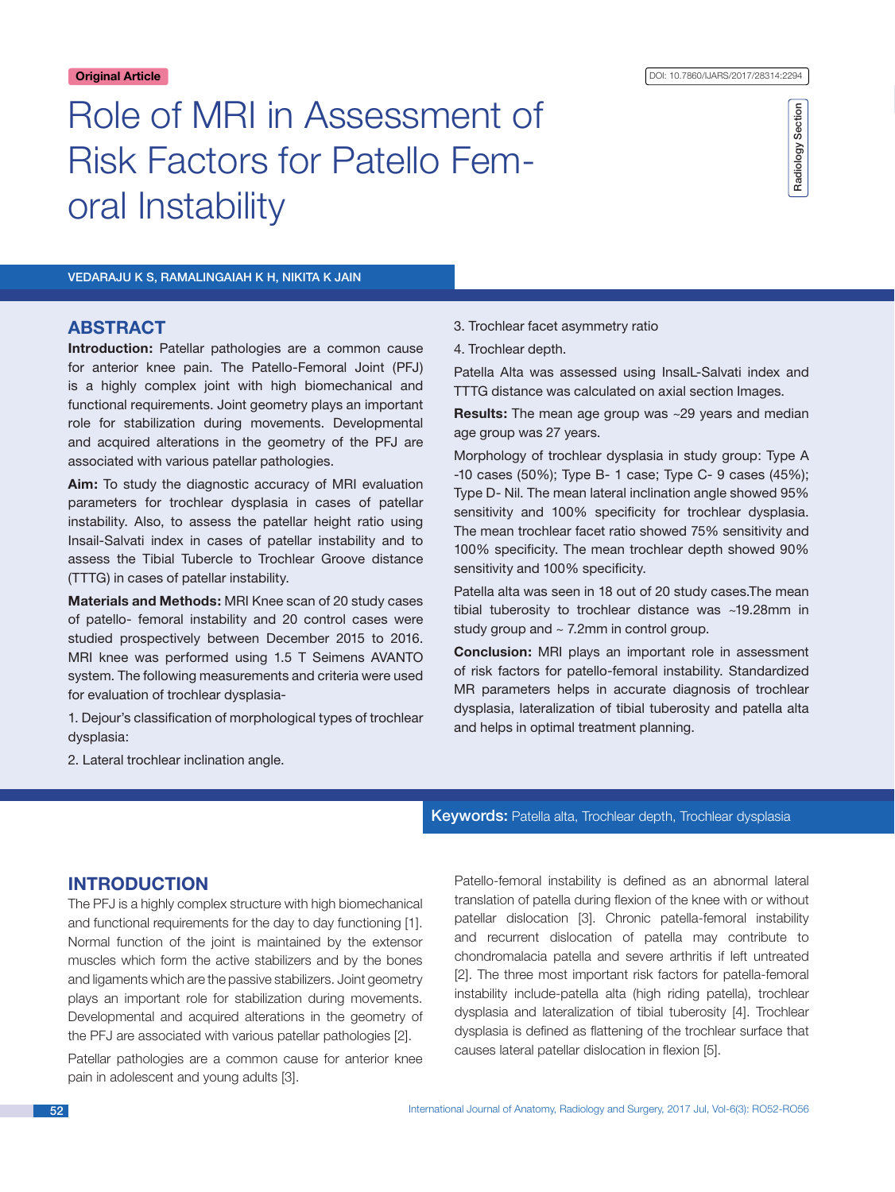# Radiology Section Radiology Section

VEDARAJU K S, RAMALINGAIAH K H, NIKITA K JAIN

oral Instability

# **ABSTRACT**

**Introduction:** Patellar pathologies are a common cause for anterior knee pain. The Patello-Femoral Joint (PFJ) is a highly complex joint with high biomechanical and functional requirements. Joint geometry plays an important role for stabilization during movements. Developmental and acquired alterations in the geometry of the PFJ are associated with various patellar pathologies.

Role of MRI in Assessment of

Risk Factors for Patello Fem-

**Aim:** To study the diagnostic accuracy of MRI evaluation parameters for trochlear dysplasia in cases of patellar instability. Also, to assess the patellar height ratio using Insail-Salvati index in cases of patellar instability and to assess the Tibial Tubercle to Trochlear Groove distance (TTTG) in cases of patellar instability.

**Materials and Methods:** MRI Knee scan of 20 study cases of patello- femoral instability and 20 control cases were studied prospectively between December 2015 to 2016. MRI knee was performed using 1.5 T Seimens AVANTO system. The following measurements and criteria were used for evaluation of trochlear dysplasia-

1. Dejour's classification of morphological types of trochlear dysplasia:

- 3. Trochlear facet asymmetry ratio
- 4. Trochlear depth.

Patella Alta was assessed using InsalL-Salvati index and TTTG distance was calculated on axial section Images.

**Results:** The mean age group was ~29 years and median age group was 27 years.

Morphology of trochlear dysplasia in study group: Type A -10 cases (50%); Type B- 1 case; Type C- 9 cases (45%); Type D- Nil. The mean lateral inclination angle showed 95% sensitivity and 100% specificity for trochlear dysplasia. The mean trochlear facet ratio showed 75% sensitivity and 100% specificity. The mean trochlear depth showed 90% sensitivity and 100% specificity.

Patella alta was seen in 18 out of 20 study cases.The mean tibial tuberosity to trochlear distance was ~19.28mm in study group and  $\sim$  7.2mm in control group.

**Conclusion:** MRI plays an important role in assessment of risk factors for patello-femoral instability. Standardized MR parameters helps in accurate diagnosis of trochlear dysplasia, lateralization of tibial tuberosity and patella alta and helps in optimal treatment planning.

2. Lateral trochlear inclination angle.

### Keywords: Patella alta, Trochlear depth, Trochlear dysplasia

# **INTRODUCTION**

The PFJ is a highly complex structure with high biomechanical and functional requirements for the day to day functioning [1]. Normal function of the joint is maintained by the extensor muscles which form the active stabilizers and by the bones and ligaments which are the passive stabilizers. Joint geometry plays an important role for stabilization during movements. Developmental and acquired alterations in the geometry of the PFJ are associated with various patellar pathologies [2].

Patellar pathologies are a common cause for anterior knee pain in adolescent and young adults [3].

Patello-femoral instability is defined as an abnormal lateral translation of patella during flexion of the knee with or without patellar dislocation [3]. Chronic patella-femoral instability and recurrent dislocation of patella may contribute to chondromalacia patella and severe arthritis if left untreated [2]. The three most important risk factors for patella-femoral instability include-patella alta (high riding patella), trochlear dysplasia and lateralization of tibial tuberosity [4]. Trochlear dysplasia is defined as flattening of the trochlear surface that causes lateral patellar dislocation in flexion [5].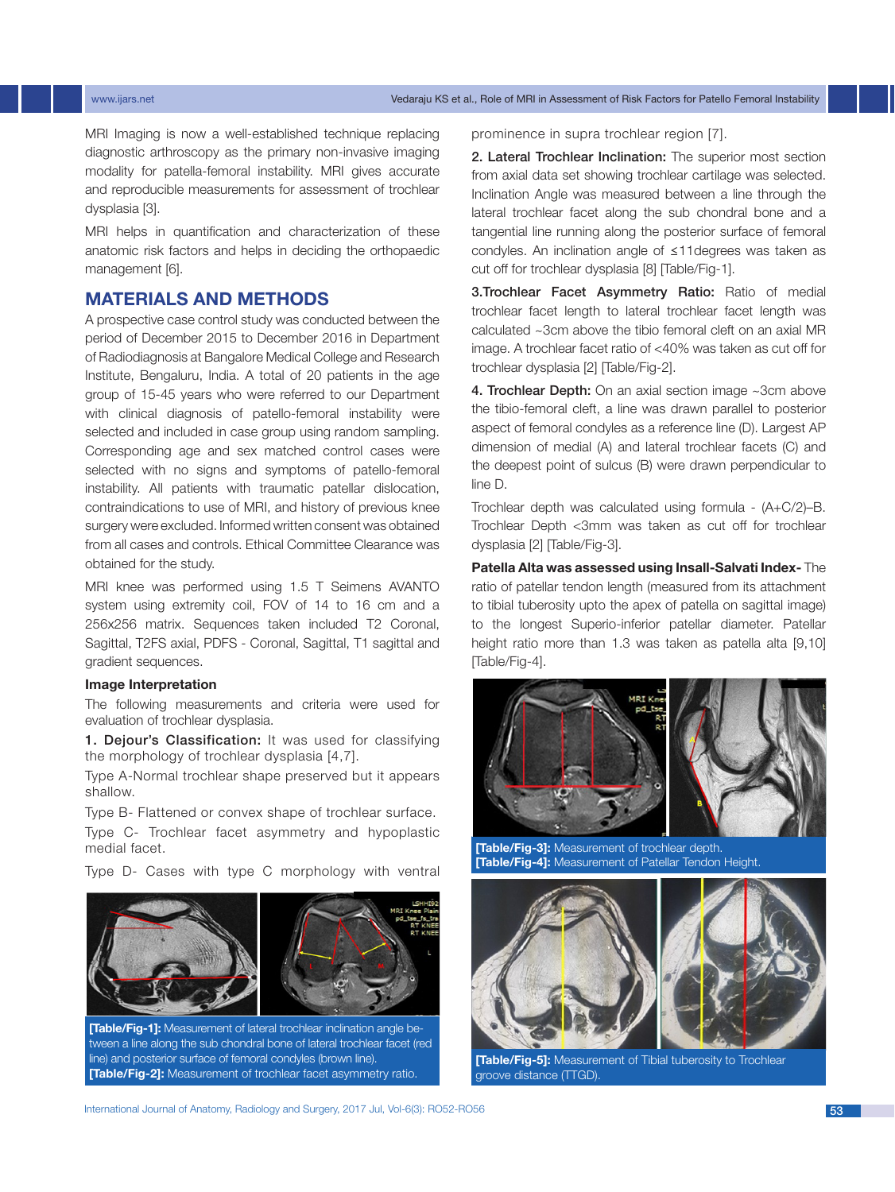#### www.ijars.net Vedaraju KS et al., Role of MRI in Assessment of Risk Factors for Patello Femoral Instability

MRI Imaging is now a well-established technique replacing diagnostic arthroscopy as the primary non-invasive imaging modality for patella-femoral instability. MRI gives accurate and reproducible measurements for assessment of trochlear dysplasia [3].

MRI helps in quantification and characterization of these anatomic risk factors and helps in deciding the orthopaedic management [6].

# **MATERIALS AND METHODS**

A prospective case control study was conducted between the period of December 2015 to December 2016 in Department of Radiodiagnosis at Bangalore Medical College and Research Institute, Bengaluru, India. A total of 20 patients in the age group of 15-45 years who were referred to our Department with clinical diagnosis of patello-femoral instability were selected and included in case group using random sampling. Corresponding age and sex matched control cases were selected with no signs and symptoms of patello-femoral instability. All patients with traumatic patellar dislocation, contraindications to use of MRI, and history of previous knee surgery were excluded. Informed written consent was obtained from all cases and controls. Ethical Committee Clearance was obtained for the study.

MRI knee was performed using 1.5 T Seimens AVANTO system using extremity coil, FOV of 14 to 16 cm and a 256x256 matrix. Sequences taken included T2 Coronal, Sagittal, T2FS axial, PDFS - Coronal, Sagittal, T1 sagittal and gradient sequences.

#### **Image Interpretation**

The following measurements and criteria were used for evaluation of trochlear dysplasia.

1. Dejour's Classification: It was used for classifying the morphology of trochlear dysplasia [4,7].

Type A-Normal trochlear shape preserved but it appears shallow.

Type B- Flattened or convex shape of trochlear surface.

Type C- Trochlear facet asymmetry and hypoplastic medial facet.

Type D- Cases with type C morphology with ventral



**[Table/Fig-1]:** Measurement of lateral trochlear inclination angle between a line along the sub chondral bone of lateral trochlear facet (red line) and posterior surface of femoral condyles (brown line). **[Table/Fig-2]:** Measurement of trochlear facet asymmetry ratio.

prominence in supra trochlear region [7].

2. Lateral Trochlear Inclination: The superior most section from axial data set showing trochlear cartilage was selected. Inclination Angle was measured between a line through the lateral trochlear facet along the sub chondral bone and a tangential line running along the posterior surface of femoral condyles. An inclination angle of ≤11degrees was taken as cut off for trochlear dysplasia [8] [Table/Fig-1].

3.Trochlear Facet Asymmetry Ratio: Ratio of medial trochlear facet length to lateral trochlear facet length was calculated ~3cm above the tibio femoral cleft on an axial MR image. A trochlear facet ratio of <40% was taken as cut off for trochlear dysplasia [2] [Table/Fig-2].

4. Trochlear Depth: On an axial section image ~3cm above the tibio-femoral cleft, a line was drawn parallel to posterior aspect of femoral condyles as a reference line (D). Largest AP dimension of medial (A) and lateral trochlear facets (C) and the deepest point of sulcus (B) were drawn perpendicular to line D.

Trochlear depth was calculated using formula - (A+C/2)–B. Trochlear Depth <3mm was taken as cut off for trochlear dysplasia [2] [Table/Fig-3].

**Patella Alta was assessed using Insall-Salvati Index-** The ratio of patellar tendon length (measured from its attachment to tibial tuberosity upto the apex of patella on sagittal image) to the longest Superio-inferior patellar diameter. Patellar height ratio more than 1.3 was taken as patella alta [9,10] [Table/Fig-4].



**[Table/Fig-3]:** Measurement of trochlear depth. **[Table/Fig-4]:** Measurement of Patellar Tendon Height.



**[Table/Fig-5]:** Measurement of Tibial tuberosity to Trochlear groove distance (TTGD).

International Journal of Anatomy, Radiology and Surgery, 2017 Jul, Vol-6(3): RO52-RO56 53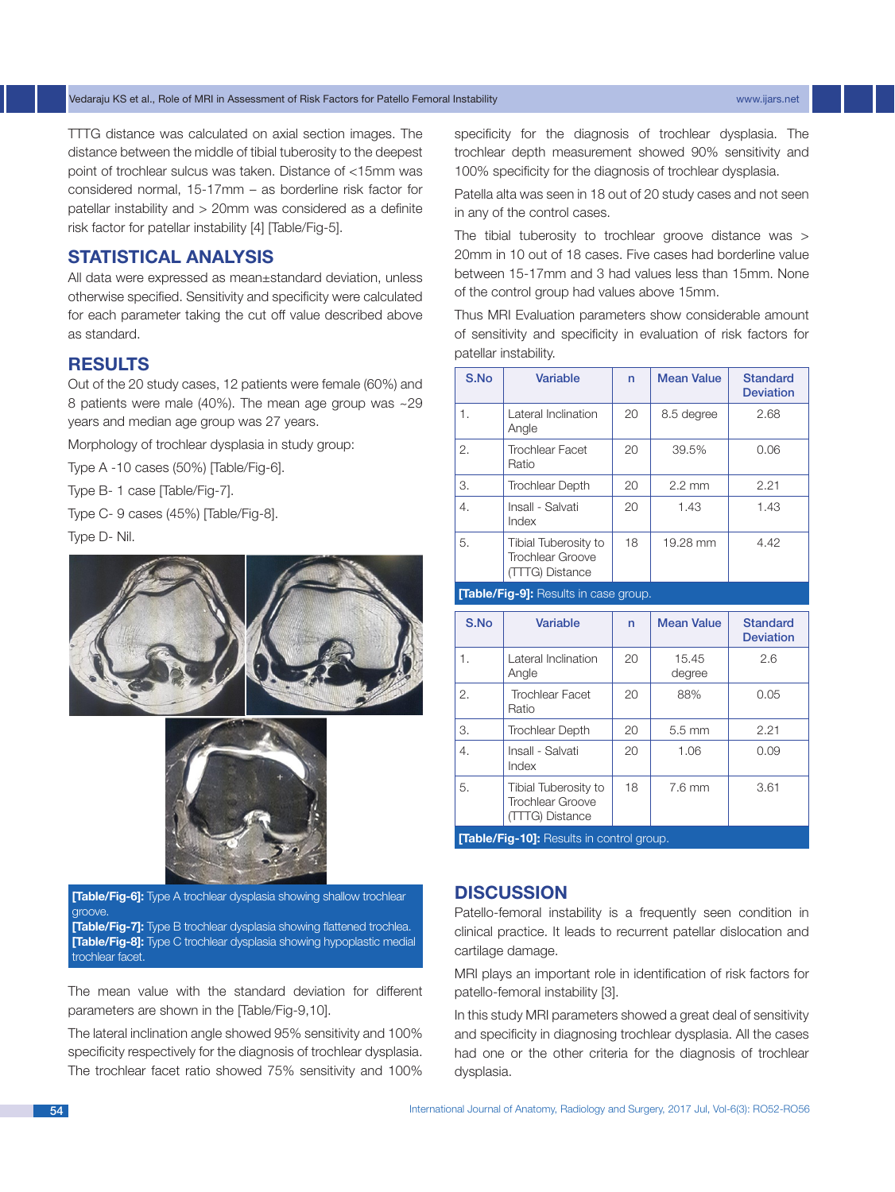TTTG distance was calculated on axial section images. The distance between the middle of tibial tuberosity to the deepest point of trochlear sulcus was taken. Distance of <15mm was considered normal, 15-17mm – as borderline risk factor for patellar instability and > 20mm was considered as a definite risk factor for patellar instability [4] [Table/Fig-5].

# **Statistical Analysis**

All data were expressed as mean±standard deviation, unless otherwise specified. Sensitivity and specificity were calculated for each parameter taking the cut off value described above as standard.

# **RESULTS**

Out of the 20 study cases, 12 patients were female (60%) and 8 patients were male (40%). The mean age group was ~29 years and median age group was 27 years.

Morphology of trochlear dysplasia in study group:

Type A -10 cases (50%) [Table/Fig-6].

Type B- 1 case [Table/Fig-7].

Type C- 9 cases (45%) [Table/Fig-8].

Type D- Nil.





**[Table/Fig-6]:** Type A trochlear dysplasia showing shallow trochlear groove.

**[Table/Fig-7]:** Type B trochlear dysplasia showing flattened trochlea. **[Table/Fig-8]:** Type C trochlear dysplasia showing hypoplastic medial trochlear facet.

The mean value with the standard deviation for different parameters are shown in the [Table/Fig-9,10].

The lateral inclination angle showed 95% sensitivity and 100% specificity respectively for the diagnosis of trochlear dysplasia. The trochlear facet ratio showed 75% sensitivity and 100% specificity for the diagnosis of trochlear dysplasia. The trochlear depth measurement showed 90% sensitivity and 100% specificity for the diagnosis of trochlear dysplasia.

Patella alta was seen in 18 out of 20 study cases and not seen in any of the control cases.

The tibial tuberosity to trochlear groove distance was > 20mm in 10 out of 18 cases. Five cases had borderline value between 15-17mm and 3 had values less than 15mm. None of the control group had values above 15mm.

Thus MRI Evaluation parameters show considerable amount of sensitivity and specificity in evaluation of risk factors for patellar instability.

| S.No                                        | Variable                                                    | n  | <b>Mean Value</b> | <b>Standard</b><br><b>Deviation</b> |  |
|---------------------------------------------|-------------------------------------------------------------|----|-------------------|-------------------------------------|--|
| 1.                                          | Lateral Inclination<br>Angle                                | 20 | 8.5 degree        | 2.68                                |  |
| 2.                                          | <b>Trochlear Facet</b><br>Ratio                             | 20 | 39.5%             | 0.06                                |  |
| 3.                                          | <b>Trochlear Depth</b>                                      | 20 | $2.2 \text{ mm}$  | 2.21                                |  |
| 4.                                          | Insall - Salvati<br>Index                                   | 20 | 1.43              | 1.43                                |  |
| 5.                                          | Tibial Tuberosity to<br>Trochlear Groove<br>(TTTG) Distance | 18 | 19.28 mm          | 4.42                                |  |
| <b>Table/Fig-91:</b> Results in case group. |                                                             |    |                   |                                     |  |

| S.No | Variable                                                           | n  | <b>Mean Value</b> | <b>Standard</b><br><b>Deviation</b> |  |
|------|--------------------------------------------------------------------|----|-------------------|-------------------------------------|--|
| 1.   | Lateral Inclination<br>Angle                                       | 20 | 15.45<br>degree   | 2.6                                 |  |
| 2.   | <b>Trochlear Facet</b><br>Ratio                                    | 20 | 88%               | 0.05                                |  |
| З.   | <b>Trochlear Depth</b>                                             | 20 | $5.5 \text{ mm}$  | 2.21                                |  |
| 4.   | Insall - Salvati<br>Index                                          | 20 | 1.06              | 0.09                                |  |
| 5.   | Tibial Tuberosity to<br><b>Trochlear Groove</b><br>(TTTG) Distance | 18 | $7.6$ mm          | 3.61                                |  |
|      |                                                                    |    |                   |                                     |  |

**[Table/Fig-10]:** Results in control group.

#### **DISCUSSION**

Patello-femoral instability is a frequently seen condition in clinical practice. It leads to recurrent patellar dislocation and cartilage damage.

MRI plays an important role in identification of risk factors for patello-femoral instability [3].

In this study MRI parameters showed a great deal of sensitivity and specificity in diagnosing trochlear dysplasia. All the cases had one or the other criteria for the diagnosis of trochlear dysplasia.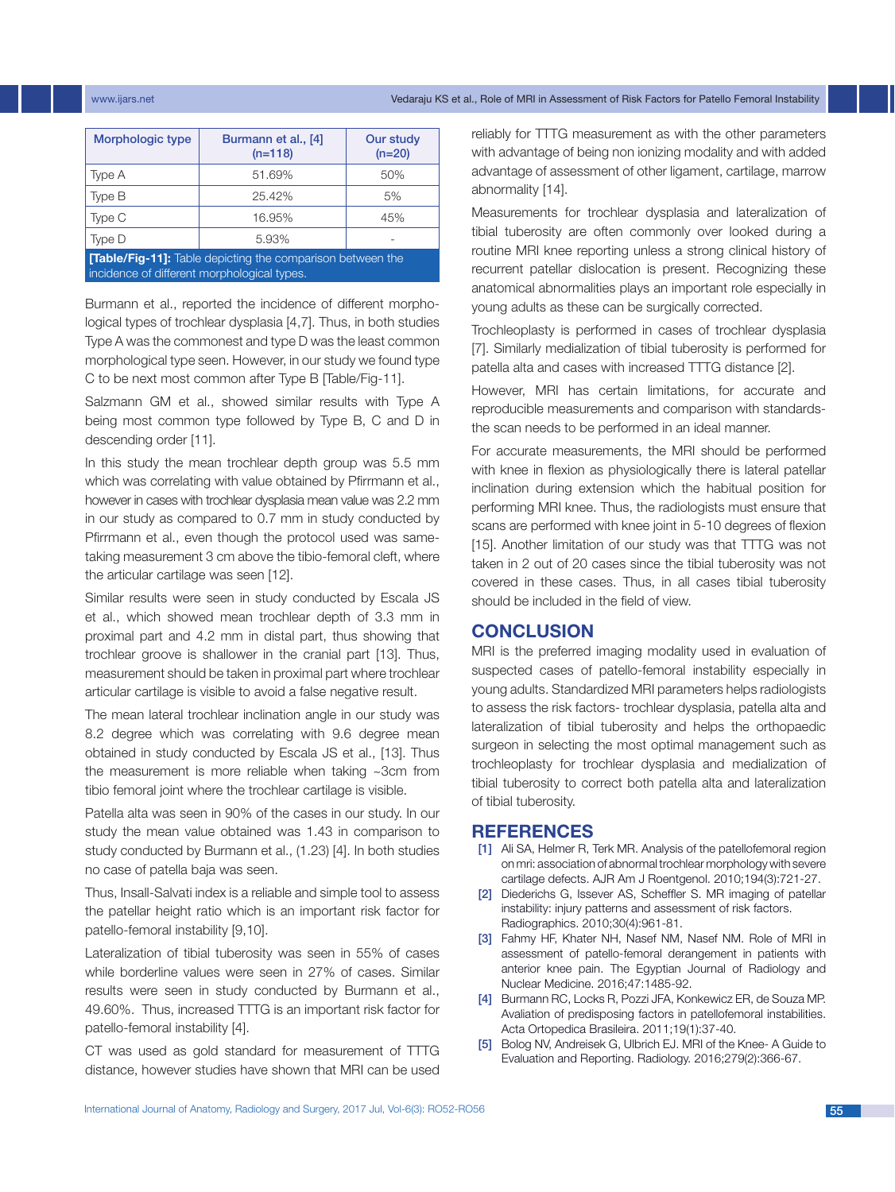#### www.ijars.net Vedaraju KS et al., Role of MRI in Assessment of Risk Factors for Patello Femoral Instability

| Morphologic type                                                                                                 | Burmann et al., [4]<br>$(n=118)$ | Our study<br>$(n=20)$ |  |  |  |
|------------------------------------------------------------------------------------------------------------------|----------------------------------|-----------------------|--|--|--|
| Type A                                                                                                           | 51.69%                           | 50%                   |  |  |  |
| Type B                                                                                                           | 25.42%                           | 5%                    |  |  |  |
| Type C                                                                                                           | 16.95%                           | 45%                   |  |  |  |
| Type D                                                                                                           | 5.93%                            |                       |  |  |  |
| <b>[Table/Fig-11]:</b> Table depicting the comparison between the<br>incidence of different morphological types. |                                  |                       |  |  |  |

Burmann et al., reported the incidence of different morphological types of trochlear dysplasia [4,7]. Thus, in both studies Type A was the commonest and type D was the least common morphological type seen. However, in our study we found type C to be next most common after Type B [Table/Fig-11].

Salzmann GM et al., showed similar results with Type A being most common type followed by Type B, C and D in descending order [11].

In this study the mean trochlear depth group was 5.5 mm which was correlating with value obtained by Pfirrmann et al., however in cases with trochlear dysplasia mean value was 2.2 mm in our study as compared to 0.7 mm in study conducted by Pfirrmann et al., even though the protocol used was sametaking measurement 3 cm above the tibio-femoral cleft, where the articular cartilage was seen [12].

Similar results were seen in study conducted by Escala JS et al., which showed mean trochlear depth of 3.3 mm in proximal part and 4.2 mm in distal part, thus showing that trochlear groove is shallower in the cranial part [13]. Thus, measurement should be taken in proximal part where trochlear articular cartilage is visible to avoid a false negative result.

The mean lateral trochlear inclination angle in our study was 8.2 degree which was correlating with 9.6 degree mean obtained in study conducted by Escala JS et al., [13]. Thus the measurement is more reliable when taking ~3cm from tibio femoral joint where the trochlear cartilage is visible.

Patella alta was seen in 90% of the cases in our study. In our study the mean value obtained was 1.43 in comparison to study conducted by Burmann et al., (1.23) [4]. In both studies no case of patella baja was seen.

Thus, Insall-Salvati index is a reliable and simple tool to assess the patellar height ratio which is an important risk factor for patello-femoral instability [9,10].

Lateralization of tibial tuberosity was seen in 55% of cases while borderline values were seen in 27% of cases. Similar results were seen in study conducted by Burmann et al., 49.60%. Thus, increased TTTG is an important risk factor for patello-femoral instability [4].

CT was used as gold standard for measurement of TTTG distance, however studies have shown that MRI can be used reliably for TTTG measurement as with the other parameters with advantage of being non ionizing modality and with added advantage of assessment of other ligament, cartilage, marrow abnormality [14].

Measurements for trochlear dysplasia and lateralization of tibial tuberosity are often commonly over looked during a routine MRI knee reporting unless a strong clinical history of recurrent patellar dislocation is present. Recognizing these anatomical abnormalities plays an important role especially in young adults as these can be surgically corrected.

Trochleoplasty is performed in cases of trochlear dysplasia [7]. Similarly medialization of tibial tuberosity is performed for patella alta and cases with increased TTTG distance [2].

However, MRI has certain limitations, for accurate and reproducible measurements and comparison with standardsthe scan needs to be performed in an ideal manner.

For accurate measurements, the MRI should be performed with knee in flexion as physiologically there is lateral patellar inclination during extension which the habitual position for performing MRI knee. Thus, the radiologists must ensure that scans are performed with knee joint in 5-10 degrees of flexion [15]. Another limitation of our study was that TTTG was not taken in 2 out of 20 cases since the tibial tuberosity was not covered in these cases. Thus, in all cases tibial tuberosity should be included in the field of view.

#### **CONCLUSION**

MRI is the preferred imaging modality used in evaluation of suspected cases of patello-femoral instability especially in young adults. Standardized MRI parameters helps radiologists to assess the risk factors- trochlear dysplasia, patella alta and lateralization of tibial tuberosity and helps the orthopaedic surgeon in selecting the most optimal management such as trochleoplasty for trochlear dysplasia and medialization of tibial tuberosity to correct both patella alta and lateralization of tibial tuberosity.

#### **References**

- [1] Ali SA, Helmer R, Terk MR. Analysis of the patellofemoral region on mri: association of abnormal trochlear morphology with severe cartilage defects. AJR Am J Roentgenol. 2010;194(3):721-27.
- [2] Diederichs G, Issever AS, Scheffler S. MR imaging of patellar instability: injury patterns and assessment of risk factors. Radiographics. 2010;30(4):961-81.
- [3] Fahmy HF, Khater NH, Nasef NM, Nasef NM. Role of MRI in assessment of patello-femoral derangement in patients with anterior knee pain. The Egyptian Journal of Radiology and Nuclear Medicine. 2016;47:1485-92.
- [4] Burmann RC, Locks R, Pozzi JFA, Konkewicz ER, de Souza MP. Avaliation of predisposing factors in patellofemoral instabilities. Acta Ortopedica Brasileira. 2011;19(1):37-40.
- [5] Bolog NV, Andreisek G, Ulbrich EJ. MRI of the Knee- A Guide to Evaluation and Reporting. Radiology. 2016;279(2):366-67.